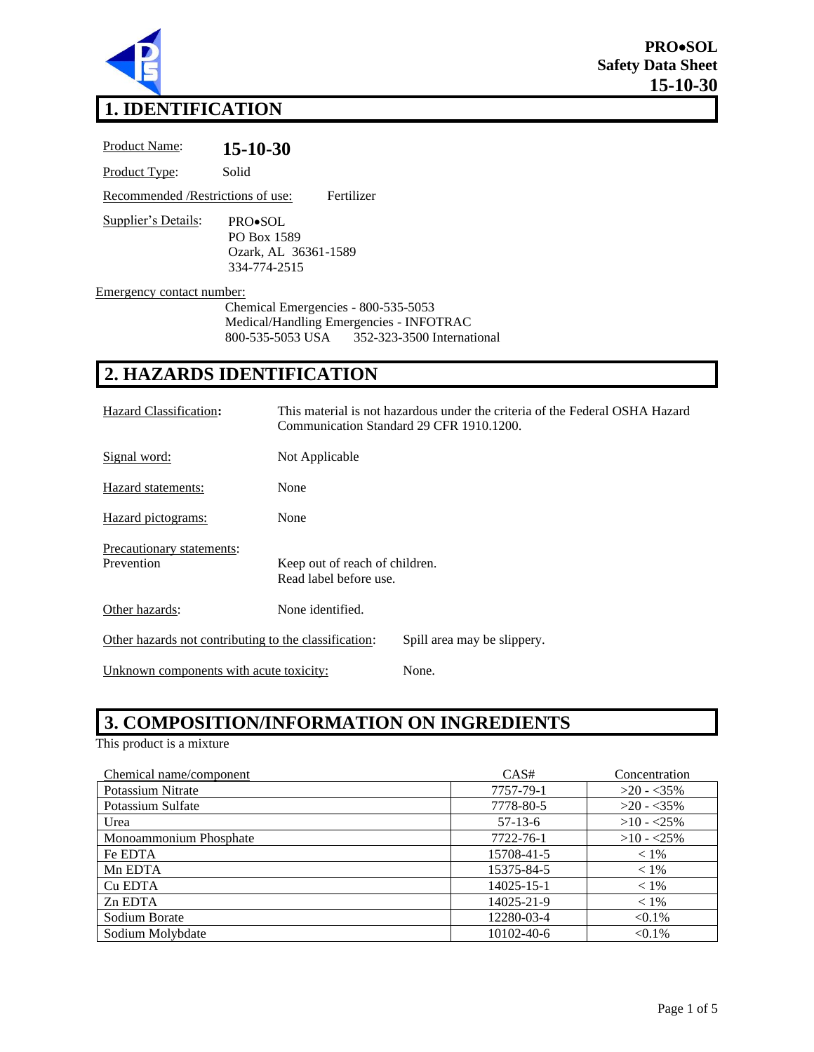

# **1. IDENTIFICATION**

| <b>Product Name:</b>               | $15 - 10 - 30$                                                                         |  |
|------------------------------------|----------------------------------------------------------------------------------------|--|
| Product Type:                      | Solid                                                                                  |  |
| Recommended / Restrictions of use: | Fertilizer                                                                             |  |
| <b>Supplier's Details:</b>         | PRO•SOL<br>PO Box 1589<br>Ozark, AL 36361-1589<br>334-774-2515                         |  |
| Emergency contact number:          | Chemical Emergencies - 800-535-5053                                                    |  |
|                                    | Medical/Handling Emergencies - INFOTRAC<br>800-535-5053 USA 352-323-3500 International |  |
|                                    |                                                                                        |  |

# **2. HAZARDS IDENTIFICATION**

| Hazard Classification:                                |                                                          | This material is not hazardous under the criteria of the Federal OSHA Hazard<br>Communication Standard 29 CFR 1910.1200. |
|-------------------------------------------------------|----------------------------------------------------------|--------------------------------------------------------------------------------------------------------------------------|
| Signal word:                                          | Not Applicable                                           |                                                                                                                          |
| Hazard statements:                                    | None                                                     |                                                                                                                          |
| Hazard pictograms:                                    | None                                                     |                                                                                                                          |
| Precautionary statements:<br>Prevention               | Keep out of reach of children.<br>Read label before use. |                                                                                                                          |
| Other hazards:                                        | None identified.                                         |                                                                                                                          |
| Other hazards not contributing to the classification: |                                                          | Spill area may be slippery.                                                                                              |
| Unknown components with acute toxicity:               |                                                          | None.                                                                                                                    |

# **3. COMPOSITION/INFORMATION ON INGREDIENTS**

This product is a mixture

| Chemical name/component | CAS#             | Concentration |
|-------------------------|------------------|---------------|
| Potassium Nitrate       | 7757-79-1        | $>20 - 35\%$  |
| Potassium Sulfate       | 7778-80-5        | $>20 - 35\%$  |
| Urea                    | $57-13-6$        | $>10 - 25\%$  |
| Monoammonium Phosphate  | 7722-76-1        | $>10 - 25\%$  |
| Fe EDTA                 | 15708-41-5       | $< 1\%$       |
| Mn EDTA                 | 15375-84-5       | $< 1\%$       |
| Cu EDTA                 | $14025 - 15 - 1$ | $< 1\%$       |
| Zn EDTA                 | 14025-21-9       | $< 1\%$       |
| Sodium Borate           | 12280-03-4       | $< 0.1\%$     |
| Sodium Molybdate        | 10102-40-6       | $< 0.1\%$     |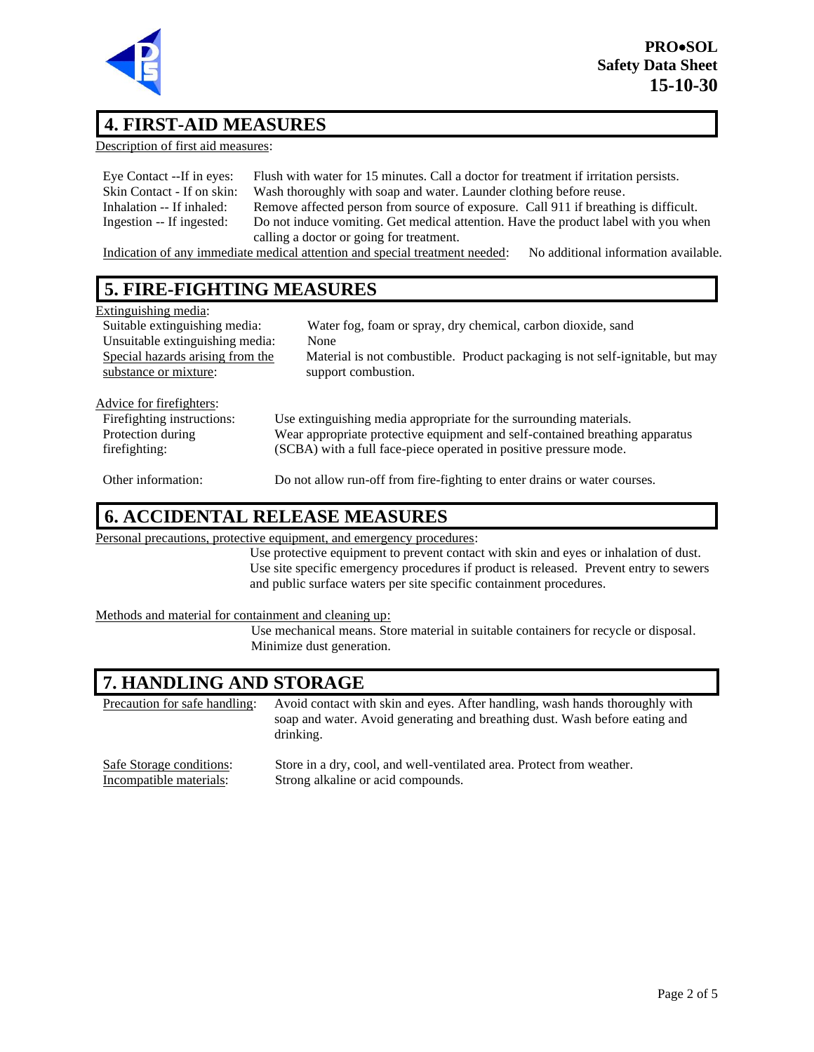

### **4. FIRST-AID MEASURES**

Description of first aid measures:

| Eye Contact --If in eyes:   | Flush with water for 15 minutes. Call a doctor for treatment if irritation persists.                                                                                                                                                           |
|-----------------------------|------------------------------------------------------------------------------------------------------------------------------------------------------------------------------------------------------------------------------------------------|
| Skin Contact - If on skin:  | Wash thoroughly with soap and water. Launder clothing before reuse.                                                                                                                                                                            |
| Inhalation -- If inhaled:   | Remove affected person from source of exposure. Call 911 if breathing is difficult.                                                                                                                                                            |
| Ingestion -- If ingested:   | Do not induce vomiting. Get medical attention. Have the product label with you when                                                                                                                                                            |
|                             | calling a doctor or going for treatment.                                                                                                                                                                                                       |
| $\sim$ $\sim$ $\sim$ $\sim$ | $\cdots$<br>$\mathcal{A}$ , and a set of the set of the set of the set of the set of the set of the set of the set of the set of the set of the set of the set of the set of the set of the set of the set of the set of the set of the set of |

Indication of any immediate medical attention and special treatment needed: No additional information available.

## **5. FIRE-FIGHTING MEASURES**

| Extinguishing media:             |                                                                               |
|----------------------------------|-------------------------------------------------------------------------------|
| Suitable extinguishing media:    | Water fog, foam or spray, dry chemical, carbon dioxide, sand                  |
| Unsuitable extinguishing media:  | None                                                                          |
| Special hazards arising from the | Material is not combustible. Product packaging is not self-ignitable, but may |
| substance or mixture:            | support combustion.                                                           |
|                                  |                                                                               |
| Advice for firefighters:         |                                                                               |
| Firefighting instructions:       | Use extinguishing media appropriate for the surrounding materials.            |
| Protection during                | Wear appropriate protective equipment and self-contained breathing apparatus  |
| firefighting:                    | (SCBA) with a full face-piece operated in positive pressure mode.             |
|                                  |                                                                               |
| Other information:               | Do not allow run-off from fire-fighting to enter drains or water courses.     |

### **6. ACCIDENTAL RELEASE MEASURES**

Personal precautions, protective equipment, and emergency procedures:

Use protective equipment to prevent contact with skin and eyes or inhalation of dust. Use site specific emergency procedures if product is released. Prevent entry to sewers and public surface waters per site specific containment procedures.

Methods and material for containment and cleaning up:

Use mechanical means. Store material in suitable containers for recycle or disposal. Minimize dust generation.

## **7. HANDLING AND STORAGE**

Precaution for safe handling: Avoid contact with skin and eyes. After handling, wash hands thoroughly with soap and water. Avoid generating and breathing dust. Wash before eating and drinking.

Safe Storage conditions: Store in a dry, cool, and well-ventilated area. Protect from weather. Incompatible materials: Strong alkaline or acid compounds.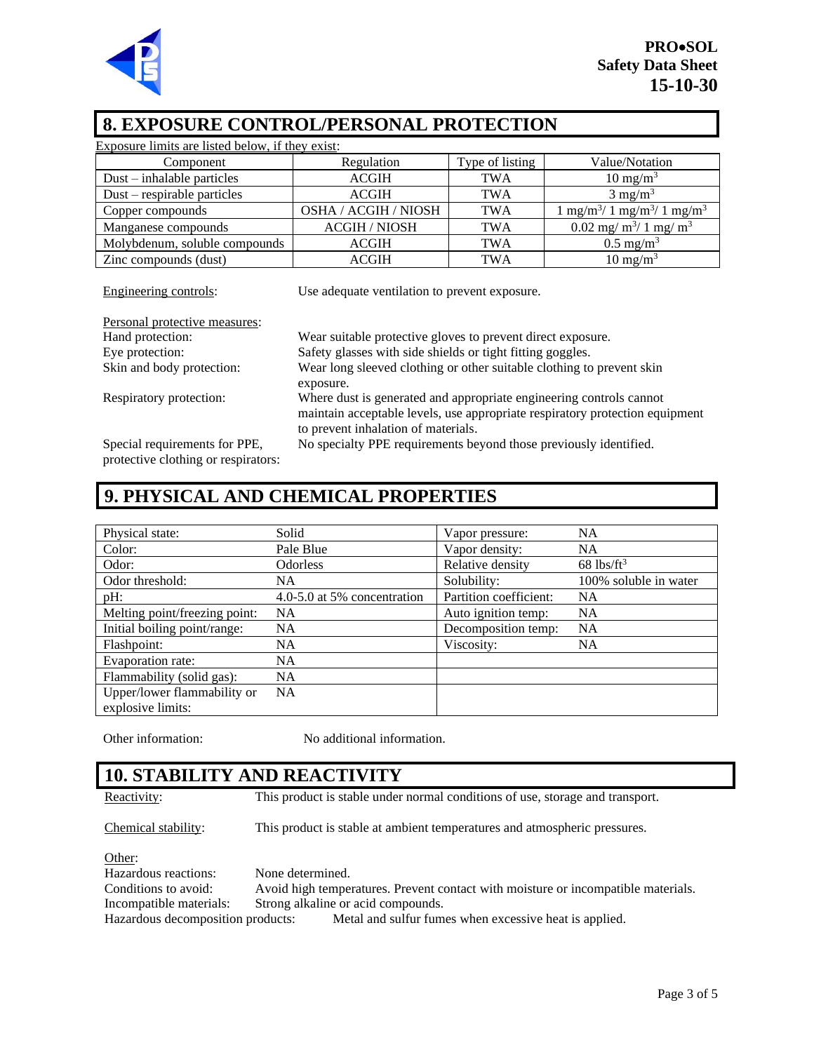

### **8. EXPOSURE CONTROL/PERSONAL PROTECTION**

| Exposure limits are listed below, if they exist:                       |                      |                 |                                                      |
|------------------------------------------------------------------------|----------------------|-----------------|------------------------------------------------------|
| Component                                                              | Regulation           | Type of listing | Value/Notation                                       |
| $Dust - inhalable particles$                                           | <b>ACGIH</b>         | <b>TWA</b>      | $10 \text{ mg/m}^3$                                  |
| $Dust$ – respirable particles                                          | <b>ACGIH</b>         | <b>TWA</b>      | $3 \text{ mg/m}^3$                                   |
| Copper compounds                                                       | OSHA / ACGIH / NIOSH | <b>TWA</b>      | $1 \text{ mg/m}^3/1 \text{ mg/m}^3/1 \text{ mg/m}^3$ |
| Manganese compounds                                                    | <b>ACGIH / NIOSH</b> | <b>TWA</b>      | 0.02 mg/ $m^3/1$ mg/ $m^3$                           |
| Molybdenum, soluble compounds                                          | <b>ACGIH</b>         | <b>TWA</b>      | $0.5 \text{ mg/m}^3$                                 |
| Zinc compounds (dust)                                                  | <b>ACGIH</b>         | <b>TWA</b>      | $10 \text{ mg/m}^3$                                  |
| Engineering controls:<br>Use adequate ventilation to prevent exposure. |                      |                 |                                                      |
|                                                                        |                      |                 |                                                      |

| Personal protective measures: |                                                                              |
|-------------------------------|------------------------------------------------------------------------------|
| Hand protection:              | Wear suitable protective gloves to prevent direct exposure.                  |
| Eye protection:               | Safety glasses with side shields or tight fitting goggles.                   |
| Skin and body protection:     | Wear long sleeved clothing or other suitable clothing to prevent skin        |
|                               | exposure.                                                                    |
| Respiratory protection:       | Where dust is generated and appropriate engineering controls cannot          |
|                               | maintain acceptable levels, use appropriate respiratory protection equipment |
|                               | to prevent inhalation of materials.                                          |
| Special requirements for PPE, | No specialty PPE requirements beyond those previously identified.            |

protective clothing or respirators:

# **9. PHYSICAL AND CHEMICAL PROPERTIES**

| Physical state:               | Solid                       | Vapor pressure:        | <b>NA</b>                |
|-------------------------------|-----------------------------|------------------------|--------------------------|
| Color:                        | Pale Blue                   | Vapor density:         | <b>NA</b>                |
| Odor:                         | <b>Odorless</b>             | Relative density       | $68$ lbs/ft <sup>3</sup> |
| Odor threshold:               | NA.                         | Solubility:            | 100% soluble in water    |
| pH:                           | 4.0-5.0 at 5% concentration | Partition coefficient: | <b>NA</b>                |
| Melting point/freezing point: | <b>NA</b>                   | Auto ignition temp:    | <b>NA</b>                |
| Initial boiling point/range:  | <b>NA</b>                   | Decomposition temp:    | <b>NA</b>                |
| Flashpoint:                   | <b>NA</b>                   | Viscosity:             | <b>NA</b>                |
| Evaporation rate:             | <b>NA</b>                   |                        |                          |
| Flammability (solid gas):     | <b>NA</b>                   |                        |                          |
| Upper/lower flammability or   | <b>NA</b>                   |                        |                          |
| explosive limits:             |                             |                        |                          |

Other information: No additional information.

### **10. STABILITY AND REACTIVITY**

Reactivity: This product is stable under normal conditions of use, storage and transport.

Chemical stability: This product is stable at ambient temperatures and atmospheric pressures.

Other: Hazardous reactions: None determined.<br>Conditions to avoid: Avoid high temper Avoid high temperatures. Prevent contact with moisture or incompatible materials. Incompatible materials: Strong alkaline or acid compounds. Hazardous decomposition products: Metal and sulfur fumes when excessive heat is applied.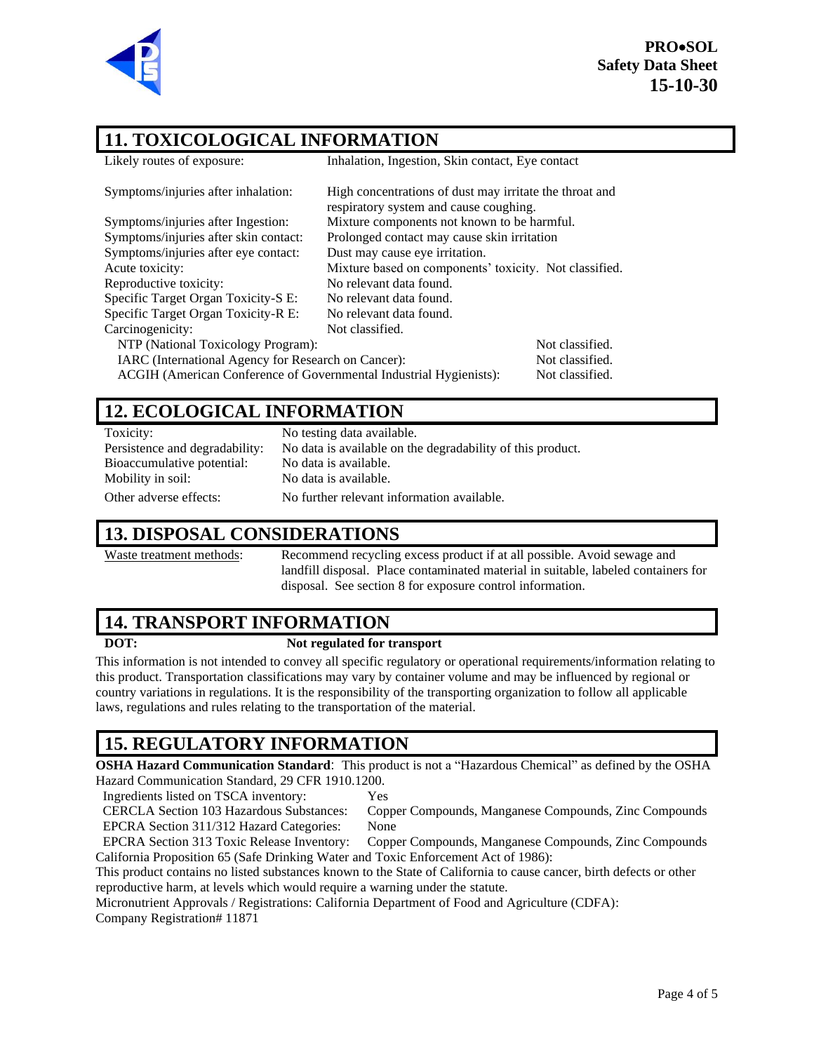

**PRO**•**SOL Safety Data Sheet 15-10-30**

## **11. TOXICOLOGICAL INFORMATION**

| 11. I UAIUULUULUAL INFUNNATIUN                                     |                                                                                                   |                 |  |
|--------------------------------------------------------------------|---------------------------------------------------------------------------------------------------|-----------------|--|
| Likely routes of exposure:                                         | Inhalation, Ingestion, Skin contact, Eye contact                                                  |                 |  |
| Symptoms/injuries after inhalation:                                | High concentrations of dust may irritate the throat and<br>respiratory system and cause coughing. |                 |  |
| Symptoms/injuries after Ingestion:                                 | Mixture components not known to be harmful.                                                       |                 |  |
| Symptoms/injuries after skin contact:                              | Prolonged contact may cause skin irritation                                                       |                 |  |
| Symptoms/injuries after eye contact:                               | Dust may cause eye irritation.                                                                    |                 |  |
| Acute toxicity:                                                    | Mixture based on components' toxicity. Not classified.                                            |                 |  |
| Reproductive toxicity:                                             | No relevant data found.                                                                           |                 |  |
| Specific Target Organ Toxicity-S E:                                | No relevant data found.                                                                           |                 |  |
| Specific Target Organ Toxicity-R E:                                | No relevant data found.                                                                           |                 |  |
| Carcinogenicity:                                                   | Not classified.                                                                                   |                 |  |
| NTP (National Toxicology Program):                                 |                                                                                                   | Not classified. |  |
| IARC (International Agency for Research on Cancer):                |                                                                                                   | Not classified. |  |
| ACGIH (American Conference of Governmental Industrial Hygienists): |                                                                                                   | Not classified. |  |

### **12. ECOLOGICAL INFORMATION**

Toxicity: No testing data available. Persistence and degradability: No data is available on the degradability of this product. Bioaccumulative potential: No data is available. Mobility in soil: No data is available. Other adverse effects: No further relevant information available.

#### **13. DISPOSAL CONSIDERATIONS**

Waste treatment methods: Recommend recycling excess product if at all possible. Avoid sewage and landfill disposal. Place contaminated material in suitable, labeled containers for disposal. See section 8 for exposure control information.

### **14. TRANSPORT INFORMATION**

#### **DOT: Not regulated for transport**

This information is not intended to convey all specific regulatory or operational requirements/information relating to this product. Transportation classifications may vary by container volume and may be influenced by regional or country variations in regulations. It is the responsibility of the transporting organization to follow all applicable laws, regulations and rules relating to the transportation of the material.

# **15. REGULATORY INFORMATION**

**OSHA Hazard Communication Standard**: This product is not a "Hazardous Chemical" as defined by the OSHA Hazard Communication Standard, 29 CFR 1910.1200.

Ingredients listed on TSCA inventory: Yes

CERCLA Section 103 Hazardous Substances: Copper Compounds, Manganese Compounds, Zinc Compounds EPCRA Section 311/312 Hazard Categories: None

EPCRA Section 313 Toxic Release Inventory: Copper Compounds, Manganese Compounds, Zinc Compounds California Proposition 65 (Safe Drinking Water and Toxic Enforcement Act of 1986):

This product contains no listed substances known to the State of California to cause cancer, birth defects or other reproductive harm, at levels which would require a warning under the statute.

Micronutrient Approvals / Registrations: California Department of Food and Agriculture (CDFA): Company Registration# 11871